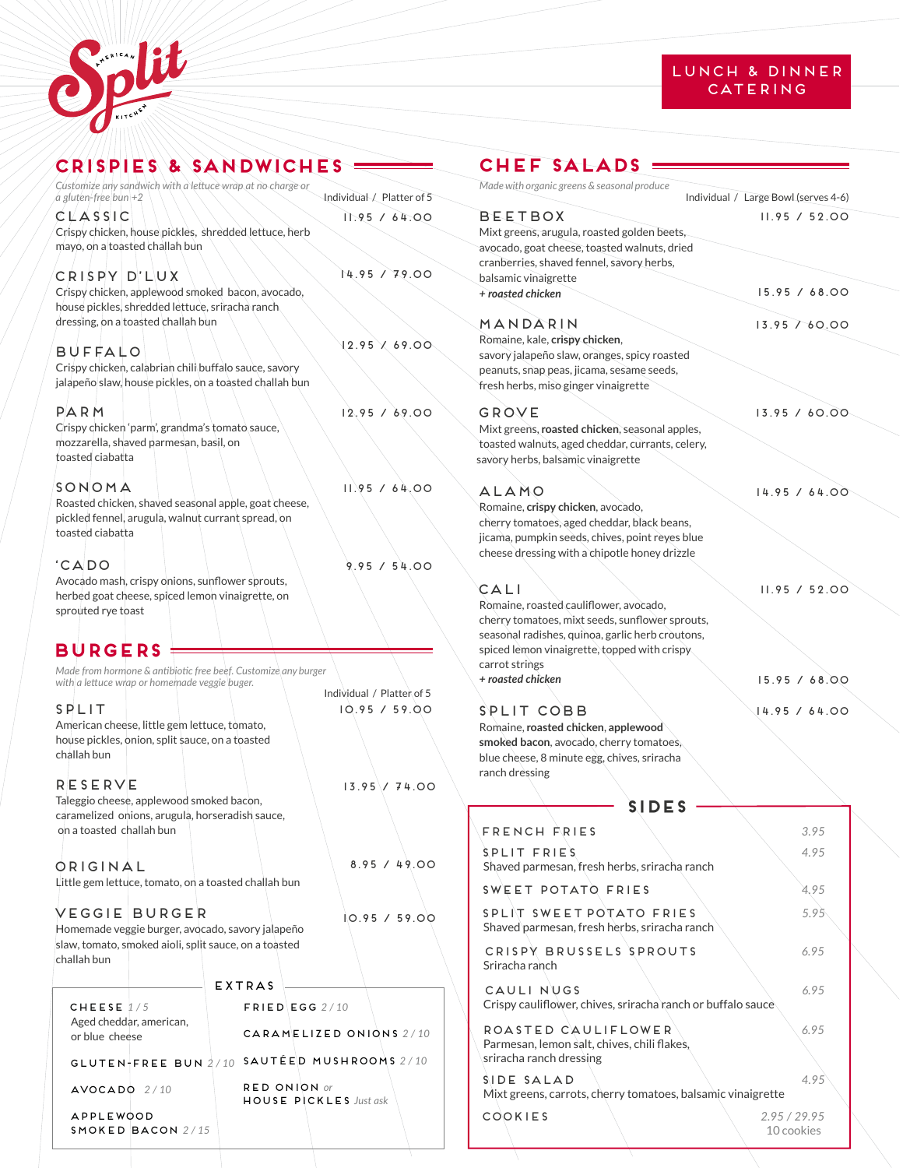



| CRISPIE'S & SANDWICHE'S                                                                             |                                               | Сŀ             |
|-----------------------------------------------------------------------------------------------------|-----------------------------------------------|----------------|
| Customize any sandwich with a lettuce wrap at no charge or                                          |                                               | Made           |
| $a$ gluten-free bun +2<br>CLASSIC                                                                   | Individual / Platter of 5<br>1.95 / 64.00     | ΒE             |
| Crispy chicken, house pickles, shredded lettuce, herb                                               |                                               | Mixt           |
| mayo, on a toasted challah bun                                                                      |                                               | avoc           |
| CRISPY D'LUX                                                                                        | 14.95 / 79.00                                 | cranl<br>balsa |
| Crispy chicken, applewood smoked bacon, avocado,<br>house pickles, shredded lettuce, sriracha ranch |                                               | + roa          |
| dressing, on a toasted challah bun                                                                  |                                               | MΔ             |
| BUFFALO                                                                                             | 12.95 / 69.00                                 | Rom<br>savoi   |
| Crispy chicken, calabrian chili buffalo sauce, savory                                               |                                               | pean           |
| jalapeño slaw, house pickles, on a toasted challah bun                                              |                                               | fresh          |
| PARM                                                                                                | 12.95 / 69.00                                 | G R            |
| Crispy chicken 'parm', grandma's tomato sauce,                                                      |                                               | Mixt           |
| mozzarella, shaved parmesan, basil, on<br>toasted ciabatta                                          |                                               | toast<br>savor |
|                                                                                                     |                                               |                |
| SONOMA<br>Roasted chicken, shaved seasonal apple, goat cheese,                                      | 11.95 / 64.00                                 | ΑL             |
| pickled fennel, arugula, walnut currant spread, on                                                  |                                               | Rom.<br>cheri  |
| toasted ciabatta                                                                                    |                                               | jicam          |
| 'CADO                                                                                               |                                               | chee           |
| Avocado mash, crispy onions, sunflower sprouts,                                                     | 9.95 / 54.00                                  |                |
| herbed goat cheese, spiced lemon vinaigrette, on                                                    |                                               | CА<br>Rom      |
| sprouted rye toast                                                                                  |                                               | cheri          |
|                                                                                                     |                                               | seaso          |
| <b>BURGERS</b><br>Made from hormone & antibiotic free beef. Customize any burger                    |                                               | spice<br>carro |
| with a lettuce wrap or homemade veggie buger.                                                       |                                               | + roa          |
| SPLIT                                                                                               | Individual / Platter of 5<br>10.95 / 59.00    | SPI            |
| American cheese, little gem lettuce, tomato,                                                        |                                               | Rom            |
| house pickles, onion, split sauce, on a toasted<br>challah bun                                      |                                               | smol           |
|                                                                                                     |                                               | blue<br>rancl  |
| RESERVE                                                                                             | $13.95 \times 74.00$                          |                |
| Taleggio cheese, applewood smoked bacon,<br>caramelized onions, arugula, horseradish sauce,         |                                               |                |
| on a toasted challah bun                                                                            |                                               | F R            |
|                                                                                                     |                                               | S.PI           |
| ORIGINAL                                                                                            | 8.95 / 49.00                                  | Sha            |
| Little gem lettuce, tomato, on a toasted challah bun                                                |                                               | SW             |
| <b>VEGGIE BURGER</b>                                                                                | 10.95 / 59.00                                 | S <sub>P</sub> |
| Homemade veggie burger, avocado, savory jalapeño                                                    |                                               | Sha            |
| slaw, tomato, smoked aioli, split sauce, on a toasted<br>challah bun                                |                                               | СR             |
|                                                                                                     | EXTRAS                                        | Srir           |
|                                                                                                     |                                               | CΔ<br>Cris     |
| CHEESE $1/5$<br>Aged cheddar, american,                                                             | $FRIED$ EGG 2/10                              |                |
| or blue cheese                                                                                      | CARAMELIZED ONIONS 2/10                       | R O<br>Parı    |
|                                                                                                     | GLUTEN-FREE BUN $2/10$ SAUTÉED MUSHROOMS 2/10 | srira          |
| $AVOCADO$ $2/10$                                                                                    | RED ONION or                                  | SID            |
|                                                                                                     | <b>HOUSE PICKLES</b> Just ask                 | Mix            |
| <b>APPLEWOOD</b><br>SMOKED BACON $2/15$                                                             |                                               | cо             |

# **chef SALADS**

| Made with organic greens & seasonal produce      | Individual / Large Bowl (serves 4-6) |
|--------------------------------------------------|--------------------------------------|
|                                                  |                                      |
| <b>BEETBOX</b>                                   | 11.95 / 52.00                        |
| Mixt greens, arugula, roasted golden beets,      |                                      |
| avocado, goat cheese, toasted walnuts, dried     |                                      |
| cranberries, shaved fennel, savory herbs,        |                                      |
| balsamic vinaigrette                             |                                      |
| + roasted chicken                                | 15.95 / 68.00                        |
| MANDARIN                                         | 13.95/60.00                          |
| Romaine, kale, crispy chicken,                   |                                      |
| savory jalapeño slaw, oranges, spicy roasted     |                                      |
| peanuts, snap peas, jicama, sesame seeds,        |                                      |
| fresh herbs, miso ginger vinaigrette             |                                      |
|                                                  |                                      |
| GROVE                                            | 13.95 / 60.00                        |
| Mixt greens, roasted chicken, seasonal apples,   |                                      |
| toasted walnuts, aged cheddar, currants, celery, |                                      |
| savory herbs, balsamic vinaigrette               |                                      |
|                                                  |                                      |
| ALAMO                                            | 14.95 / 64.00                        |
| Romaine, crispy chicken, avocado,                |                                      |
| cherry tomatoes, aged cheddar, black beans,      |                                      |
| jicama, pumpkin seeds, chives, point reyes blue  |                                      |
| cheese dressing with a chipotle honey drizzle    |                                      |
|                                                  |                                      |
|                                                  |                                      |
| CALI                                             | 11.95 / 52.00                        |
| Romaine, roasted cauliflower, avocado,           |                                      |
| cherry tomatoes, mixt seeds, sunflower sprouts,  |                                      |
| seasonal radishes, quinoa, garlic herb croutons, |                                      |
| spiced lemon vinaigrette, topped with crispy     |                                      |
| carrot strings                                   |                                      |
| + roasted chicken                                | 15.95 / 68.00                        |
|                                                  |                                      |
| SPLIT COBB                                       | 14.95 / 64.00                        |
| Romaine, roasted chicken, applewood              |                                      |
| smoked bacon, avocado, cherry tomatoes,          |                                      |
| blue cheese, 8 minute egg, chives, sriracha      |                                      |
| ranch dressing                                   |                                      |
|                                                  |                                      |
| <b>SIDES</b>                                     |                                      |
|                                                  |                                      |
|                                                  |                                      |

| . . <i>.</i>                                                                                  |            |
|-----------------------------------------------------------------------------------------------|------------|
| FRENCH FRIES                                                                                  | 3.95       |
| SPLIT FRIES<br>Shaved parmesan, fresh herbs, sriracha ranch                                   | 4.95       |
| SWEET POTATO FRIES                                                                            | 4.95       |
| SPLIT SWEET POTATO FRIES<br>Shaved parmesan, fresh herbs, sriracha ranch                      | 5.95       |
| CRISPY BRUSSELS SPROUTS<br>Sriracha ranch                                                     | 6.95       |
| CAULI NUGS<br>Crispy cauliflower, chives, sriracha ranch or buffalo sauce                     | 6.95       |
| ROASTED CAULIFLOWER<br>Parmesan, lemon salt, chives, chili flakes,<br>sriracha ranch dressing | 6.95       |
| SIDE SALAD<br>Mixt greens, carrots, cherry tomatoes, balsamic vinaigrette                     | 4.95       |
| COOKIES<br>2.95/29.95                                                                         | 10 cookies |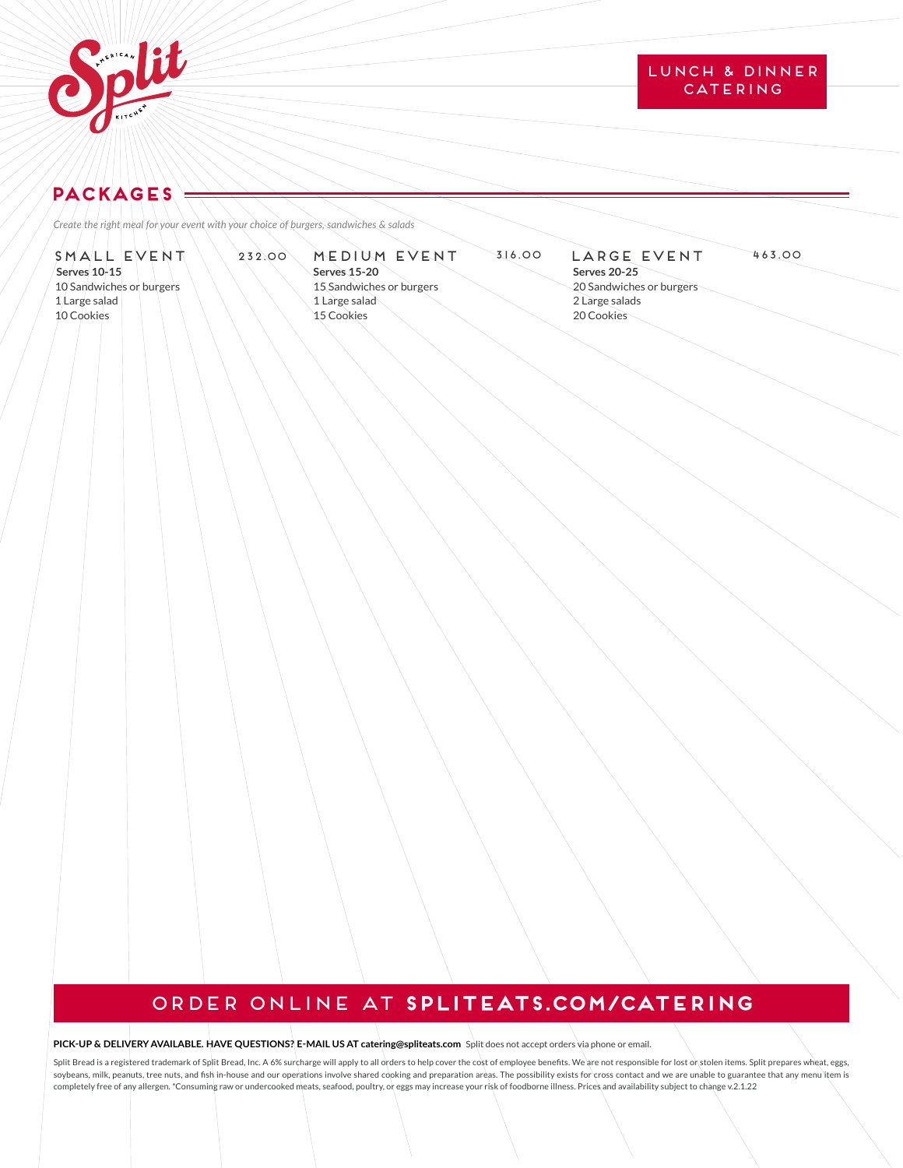

## LUNCH & DINNER CATERING

# **PACKAGES**

*Create the right meal for your event with your choice of burgers, sandwiches & salads* 

### SMALL EVENT **Serves 10-15** 10 Sandwiches or burgers 1 Large salad 10 Cookies

**Serves 15-20**  15 Sandwiches or burgers 1 Large salad 15 Cookies

### 232.00 MEDIUM EVENT 316.00 LARGE EVENT 463.00 LARGE EVENT

**Serves 20-25** 20 Sandwiches or burgers 2 Large salads 20 Cookies

# Order online at **splitEATS.com/CATERING**

### **PICK-UP & DELIVERY AVAILABLE. HAVE QUESTIONS? E-MAIL US AT catering@spliteats.com** Split does not accept orders via phone or email.

Split Bread is a registered trademark of Split Bread, Inc. A 6% surcharge will apply to all orders to help cover the cost of employee benefits. We are not responsible for lost or stolen items. Split prepares wheat, eggs, soybeans, milk, peanuts, tree nuts, and fish in-house and our operations involve shared cooking and preparation areas. The possibility exists for cross contact and we are unable to guarantee that any menu item is completely free of any allergen. \*Consuming raw or undercooked meats, seafood, poultry, or eggs may increase your risk of foodborne illness. Prices and availability subject to change v.2.1.22